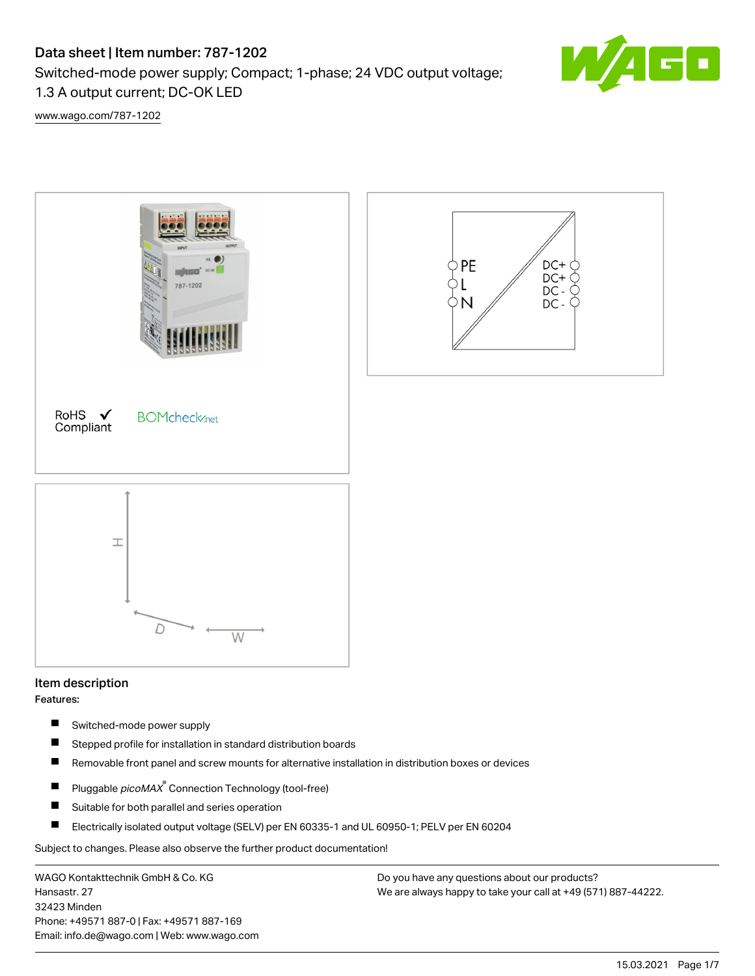# Data sheet | Item number: 787-1202

Switched-mode power supply; Compact; 1-phase; 24 VDC output voltage;

1.3 A output current; DC-OK LED

G O

[www.wago.com/787-1202](http://www.wago.com/787-1202)



# Item description

Features:

- $\blacksquare$ Switched-mode power supply
- $\blacksquare$ Stepped profile for installation in standard distribution boards
- П Removable front panel and screw mounts for alternative installation in distribution boxes or devices
- Pluggable *picoMAX*<sup>®</sup> Connection Technology (tool-free)  $\blacksquare$
- $\blacksquare$ Suitable for both parallel and series operation
- $\blacksquare$ Electrically isolated output voltage (SELV) per EN 60335-1 and UL 60950-1; PELV per EN 60204

Subject to changes. Please also observe the further product documentation!

WAGO Kontakttechnik GmbH & Co. KG Hansastr. 27 32423 Minden Phone: +49571 887-0 | Fax: +49571 887-169 Email: info.de@wago.com | Web: www.wago.com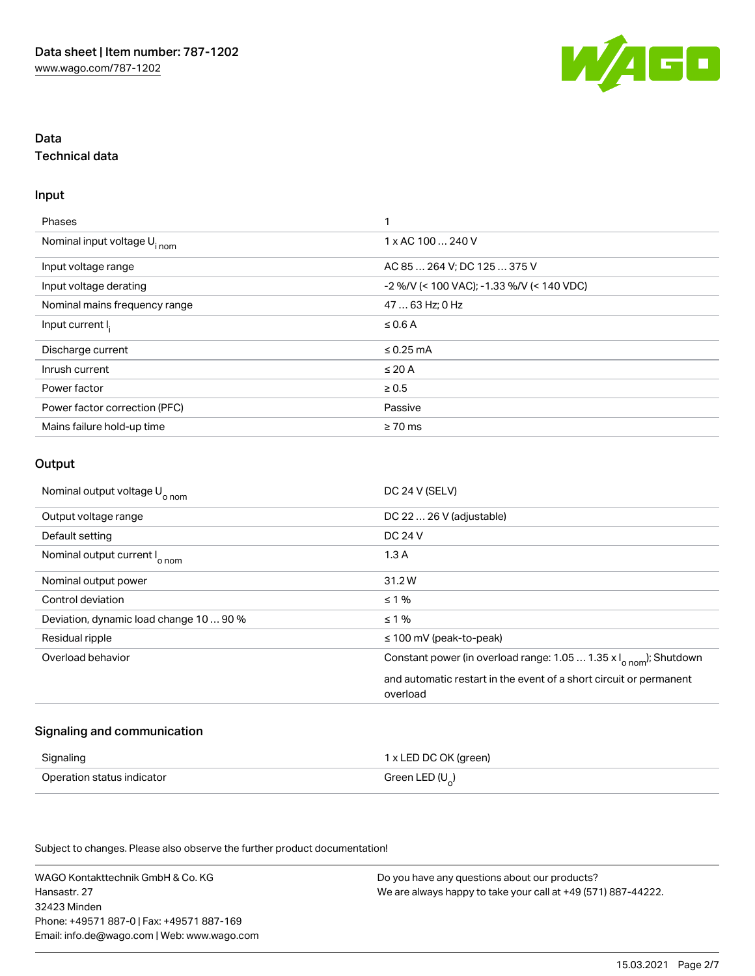

# Data Technical data

#### Input

| <b>Phases</b>                           | 1                                             |
|-----------------------------------------|-----------------------------------------------|
| Nominal input voltage U <sub>inom</sub> | 1 x AC 100  240 V                             |
| Input voltage range                     | AC 85  264 V; DC 125  375 V                   |
| Input voltage derating                  | $-2$ %/V (< 100 VAC); $-1.33$ %/V (< 140 VDC) |
| Nominal mains frequency range           | 47  63 Hz; 0 Hz                               |
| Input current I.                        | $\leq$ 0.6 A                                  |
| Discharge current                       | $\leq$ 0.25 mA                                |
| Inrush current                          | $\leq 20$ A                                   |
| Power factor                            | $\geq 0.5$                                    |
| Power factor correction (PFC)           | Passive                                       |
| Mains failure hold-up time              | $\geq 70$ ms                                  |

## **Output**

| Nominal output voltage U <sub>o nom</sub> | DC 24 V (SELV)                                                                 |
|-------------------------------------------|--------------------------------------------------------------------------------|
| Output voltage range                      | DC 22  26 V (adjustable)                                                       |
| Default setting                           | <b>DC 24 V</b>                                                                 |
| Nominal output current I <sub>o nom</sub> | 1.3A                                                                           |
| Nominal output power                      | 31.2W                                                                          |
| Control deviation                         | $\leq 1\%$                                                                     |
| Deviation, dynamic load change 10  90 %   | $\leq 1\%$                                                                     |
| Residual ripple                           | $\leq$ 100 mV (peak-to-peak)                                                   |
| Overload behavior                         | Constant power (in overload range: 1.05  1.35 x $I_{\text{onom}}$ ); Shutdown  |
|                                           | and automatic restart in the event of a short circuit or permanent<br>overload |

## Signaling and communication

| Signaling                  | 1 x LED DC OK (green) |
|----------------------------|-----------------------|
| Operation status indicator | Green LED $(U_0)$     |

Subject to changes. Please also observe the further product documentation!

WAGO Kontakttechnik GmbH & Co. KG Hansastr. 27 32423 Minden Phone: +49571 887-0 | Fax: +49571 887-169 Email: info.de@wago.com | Web: www.wago.com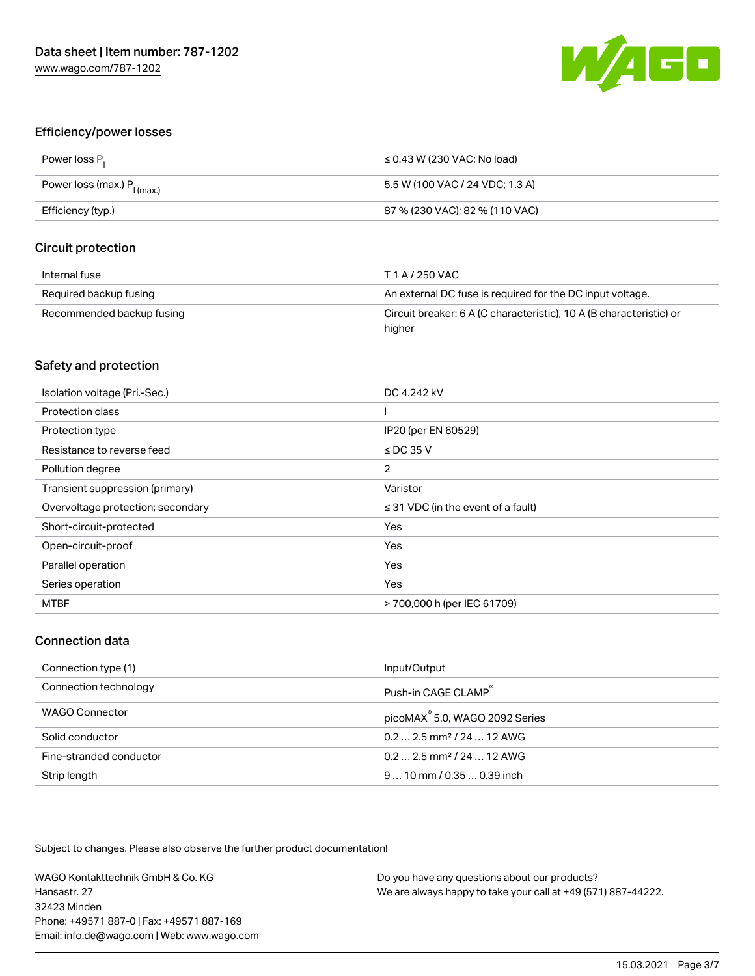

#### Efficiency/power losses

| Power loss P <sub>1</sub>           | $\leq$ 0.43 W (230 VAC; No load) |
|-------------------------------------|----------------------------------|
| Power loss (max.) $P_{\mid (max.)}$ | 5.5 W (100 VAC / 24 VDC: 1.3 A)  |
| Efficiency (typ.)                   | 87 % (230 VAC); 82 % (110 VAC)   |

#### Circuit protection

| Internal fuse             | T 1 A / 250 VAC                                                               |
|---------------------------|-------------------------------------------------------------------------------|
| Required backup fusing    | An external DC fuse is required for the DC input voltage.                     |
| Recommended backup fusing | Circuit breaker: 6 A (C characteristic), 10 A (B characteristic) or<br>higher |

## Safety and protection

| Isolation voltage (Pri.-Sec.)     | DC 4.242 kV                             |
|-----------------------------------|-----------------------------------------|
| Protection class                  |                                         |
| Protection type                   | IP20 (per EN 60529)                     |
| Resistance to reverse feed        | $\le$ DC 35 V                           |
| Pollution degree                  | 2                                       |
| Transient suppression (primary)   | Varistor                                |
|                                   |                                         |
| Overvoltage protection; secondary | $\leq$ 31 VDC (in the event of a fault) |
| Short-circuit-protected           | Yes                                     |
| Open-circuit-proof                | Yes                                     |
| Parallel operation                | Yes                                     |
| Series operation                  | Yes                                     |

#### Connection data

| Connection type (1)     | Input/Output                               |
|-------------------------|--------------------------------------------|
| Connection technology   | Push-in CAGE CLAMP®                        |
| WAGO Connector          | picoMAX <sup>®</sup> 5.0, WAGO 2092 Series |
| Solid conductor         | $0.22.5$ mm <sup>2</sup> / 24  12 AWG      |
| Fine-stranded conductor | $0.22.5$ mm <sup>2</sup> / 24  12 AWG      |
| Strip length            | $910$ mm $/0.350.39$ inch                  |

Subject to changes. Please also observe the further product documentation!

WAGO Kontakttechnik GmbH & Co. KG Hansastr. 27 32423 Minden Phone: +49571 887-0 | Fax: +49571 887-169 Email: info.de@wago.com | Web: www.wago.com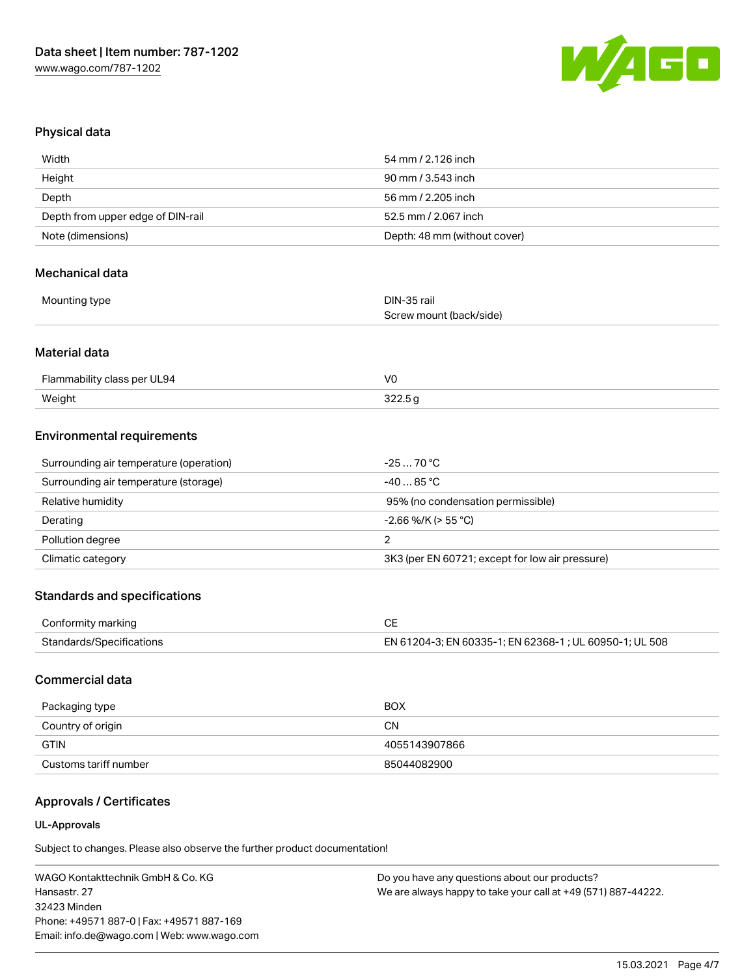

#### Physical data

| Width                             | 54 mm / 2.126 inch           |
|-----------------------------------|------------------------------|
| Height                            | 90 mm / 3.543 inch           |
| Depth                             | 56 mm / 2.205 inch           |
| Depth from upper edge of DIN-rail | 52.5 mm / 2.067 inch         |
| Note (dimensions)                 | Depth: 48 mm (without cover) |

#### Mechanical data

| Mounting type | DIN-35 rail<br>$\sim$   |
|---------------|-------------------------|
|               | Screw mount (back/side) |

## Material data

| Flammability class per UL94 | VC |
|-----------------------------|----|
| Weight                      |    |

#### Environmental requirements

| Surrounding air temperature (operation) | $-2570 °C$                                      |
|-----------------------------------------|-------------------------------------------------|
| Surrounding air temperature (storage)   | $-4085$ °C $-$                                  |
| Relative humidity                       | 95% (no condensation permissible)               |
| Derating                                | $-2.66$ %/K (> 55 °C)                           |
| Pollution degree                        |                                                 |
| Climatic category                       | 3K3 (per EN 60721; except for low air pressure) |

## Standards and specifications

| Conformity marking       |                                                        |
|--------------------------|--------------------------------------------------------|
| Standards/Specifications | EN 61204-3; EN 60335-1; EN 62368-1; UL 60950-1; UL 508 |

# Commercial data

| Packaging type        | <b>BOX</b>    |
|-----------------------|---------------|
| Country of origin     | CΝ            |
| <b>GTIN</b>           | 4055143907866 |
| Customs tariff number | 85044082900   |

# Approvals / Certificates

#### UL-Approvals

Subject to changes. Please also observe the further product documentation!

WAGO Kontakttechnik GmbH & Co. KG Hansastr. 27 32423 Minden Phone: +49571 887-0 | Fax: +49571 887-169 Email: info.de@wago.com | Web: www.wago.com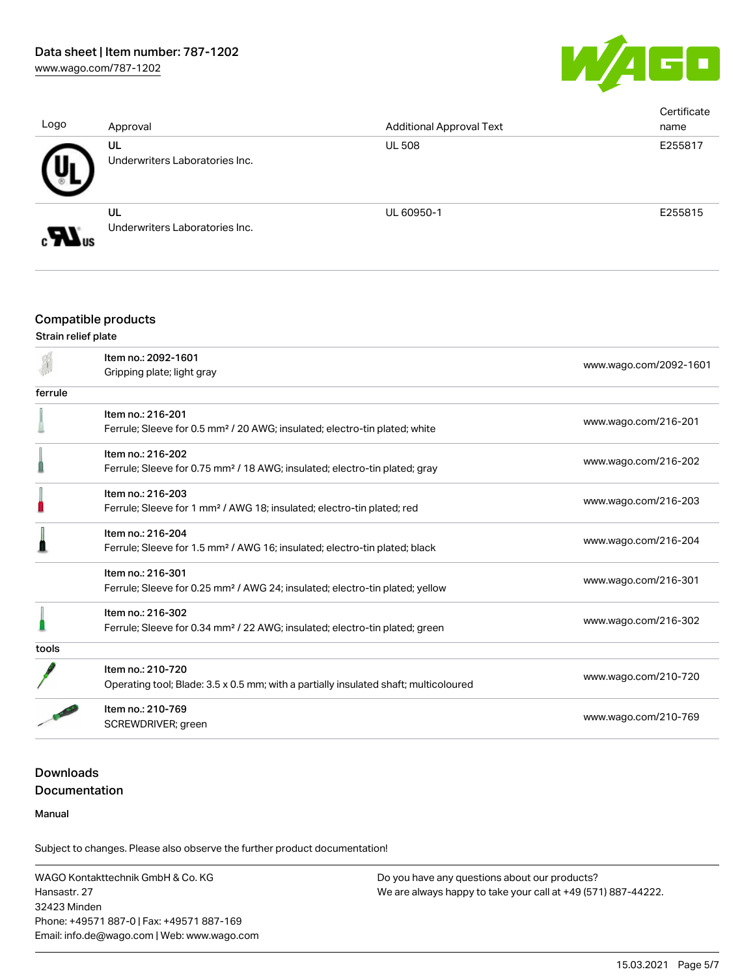

| Logo | Approval                             | <b>Additional Approval Text</b> | Certificate<br>name |
|------|--------------------------------------|---------------------------------|---------------------|
|      | UL<br>Underwriters Laboratories Inc. | <b>UL 508</b>                   | E255817             |
|      | UL<br>Underwriters Laboratories Inc. | UL 60950-1                      | E255815             |

# Compatible products

#### Strain relief plate

|         | Item no.: 2092-1601                                                                      |                        |
|---------|------------------------------------------------------------------------------------------|------------------------|
|         | Gripping plate; light gray                                                               | www.wago.com/2092-1601 |
| ferrule |                                                                                          |                        |
|         | Item no.: 216-201                                                                        |                        |
|         | Ferrule; Sleeve for 0.5 mm <sup>2</sup> / 20 AWG; insulated; electro-tin plated; white   | www.wago.com/216-201   |
|         | Item no.: 216-202                                                                        |                        |
|         | Ferrule; Sleeve for 0.75 mm <sup>2</sup> / 18 AWG; insulated; electro-tin plated; gray   | www.wago.com/216-202   |
|         | Item no.: 216-203                                                                        |                        |
|         | Ferrule; Sleeve for 1 mm <sup>2</sup> / AWG 18; insulated; electro-tin plated; red       | www.wago.com/216-203   |
|         | Item no.: 216-204                                                                        |                        |
|         | Ferrule; Sleeve for 1.5 mm <sup>2</sup> / AWG 16; insulated; electro-tin plated; black   | www.wago.com/216-204   |
|         | Item no.: 216-301                                                                        |                        |
|         | Ferrule; Sleeve for 0.25 mm <sup>2</sup> / AWG 24; insulated; electro-tin plated; yellow | www.wago.com/216-301   |
|         | Item no.: 216-302                                                                        |                        |
|         | Ferrule; Sleeve for 0.34 mm <sup>2</sup> / 22 AWG; insulated; electro-tin plated; green  | www.wago.com/216-302   |
| tools   |                                                                                          |                        |
|         | Item no.: 210-720                                                                        |                        |
|         | Operating tool; Blade: 3.5 x 0.5 mm; with a partially insulated shaft; multicoloured     | www.wago.com/210-720   |
|         | Item no.: 210-769                                                                        |                        |
|         | SCREWDRIVER; green                                                                       | www.wago.com/210-769   |

# Downloads Documentation

Manual

Subject to changes. Please also observe the further product documentation!

WAGO Kontakttechnik GmbH & Co. KG Hansastr. 27 32423 Minden Phone: +49571 887-0 | Fax: +49571 887-169 Email: info.de@wago.com | Web: www.wago.com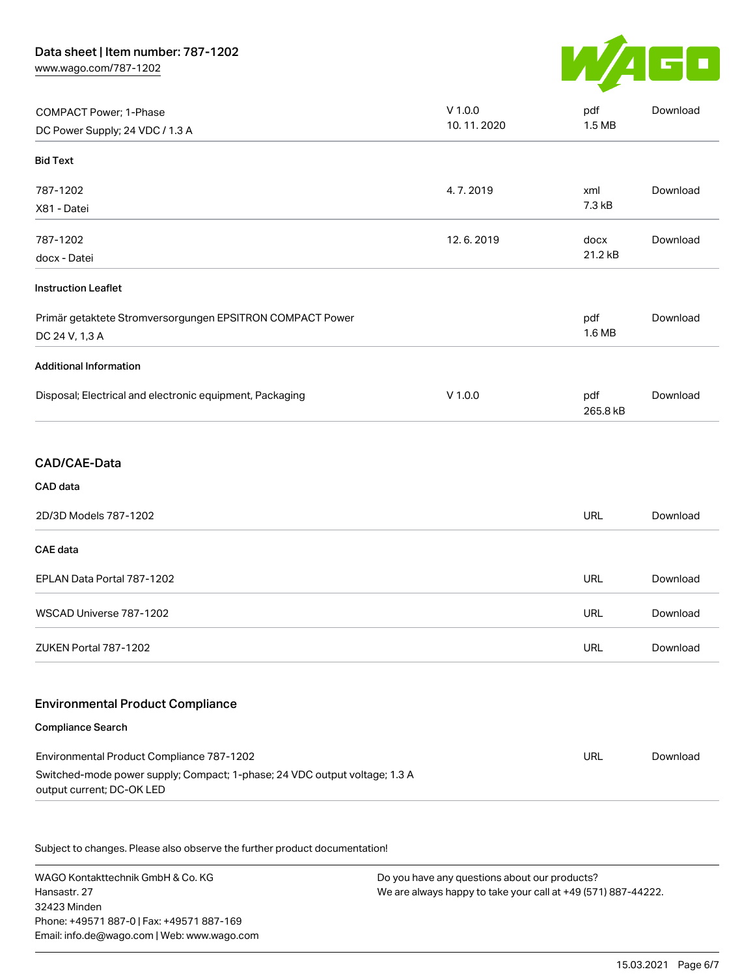[www.wago.com/787-1202](http://www.wago.com/787-1202)



| COMPACT Power; 1-Phase<br>DC Power Supply; 24 VDC / 1.3 A                                                                                            | $V$ 1.0.0<br>10.11.2020 | pdf<br>1.5 MB   | Download |
|------------------------------------------------------------------------------------------------------------------------------------------------------|-------------------------|-----------------|----------|
| <b>Bid Text</b>                                                                                                                                      |                         |                 |          |
| 787-1202<br>X81 - Datei                                                                                                                              | 4.7.2019                | xml<br>7.3 kB   | Download |
| 787-1202<br>docx - Datei                                                                                                                             | 12.6.2019               | docx<br>21.2 kB | Download |
| <b>Instruction Leaflet</b>                                                                                                                           |                         |                 |          |
| Primär getaktete Stromversorgungen EPSITRON COMPACT Power<br>DC 24 V, 1,3 A                                                                          |                         | pdf<br>1.6 MB   | Download |
| <b>Additional Information</b>                                                                                                                        |                         |                 |          |
| Disposal; Electrical and electronic equipment, Packaging                                                                                             | $V$ 1.0.0               | pdf<br>265.8 kB | Download |
| <b>CAD/CAE-Data</b>                                                                                                                                  |                         |                 |          |
| CAD data                                                                                                                                             |                         |                 |          |
| 2D/3D Models 787-1202                                                                                                                                |                         | URL             | Download |
| <b>CAE</b> data                                                                                                                                      |                         |                 |          |
| EPLAN Data Portal 787-1202                                                                                                                           |                         | <b>URL</b>      | Download |
| WSCAD Universe 787-1202                                                                                                                              |                         | <b>URL</b>      | Download |
| ZUKEN Portal 787-1202                                                                                                                                |                         | URL             | Download |
| <b>Environmental Product Compliance</b>                                                                                                              |                         |                 |          |
| <b>Compliance Search</b>                                                                                                                             |                         |                 |          |
| Environmental Product Compliance 787-1202<br>Switched-mode power supply; Compact; 1-phase; 24 VDC output voltage; 1.3 A<br>output current; DC-OK LED |                         | <b>URL</b>      | Download |

Subject to changes. Please also observe the further product documentation!

WAGO Kontakttechnik GmbH & Co. KG Hansastr. 27 32423 Minden Phone: +49571 887-0 | Fax: +49571 887-169 Email: info.de@wago.com | Web: www.wago.com